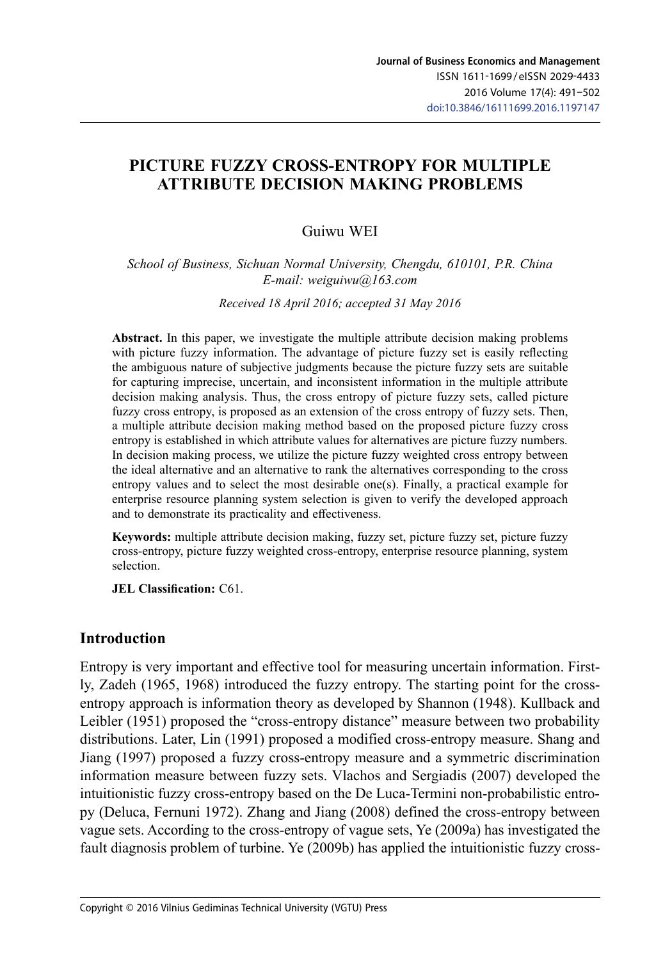# **PICTURE FUZZY CROSS-ENTROPY FOR MULTIPLE ATTRIBUTE DECISION MAKING PROBLEMS**

### Guiwu WEI

*School of Business, Sichuan Normal University, Chengdu, 610101, P.R. China E-mail: weiguiwu@163.com*

*Received 18 April 2016; accepted 31 May 2016*

**Abstract.** In this paper, we investigate the multiple attribute decision making problems with picture fuzzy information. The advantage of picture fuzzy set is easily reflecting the ambiguous nature of subjective judgments because the picture fuzzy sets are suitable for capturing imprecise, uncertain, and inconsistent information in the multiple attribute decision making analysis. Thus, the cross entropy of picture fuzzy sets, called picture fuzzy cross entropy, is proposed as an extension of the cross entropy of fuzzy sets. Then, a multiple attribute decision making method based on the proposed picture fuzzy cross entropy is established in which attribute values for alternatives are picture fuzzy numbers. In decision making process, we utilize the picture fuzzy weighted cross entropy between the ideal alternative and an alternative to rank the alternatives corresponding to the cross entropy values and to select the most desirable one(s). Finally, a practical example for enterprise resource planning system selection is given to verify the developed approach and to demonstrate its practicality and effectiveness.

**Keywords:** multiple attribute decision making, fuzzy set, picture fuzzy set, picture fuzzy cross-entropy, picture fuzzy weighted cross-entropy, enterprise resource planning, system selection.

**JEL Classification:** C61.

#### **Introduction**

Entropy is very important and effective tool for measuring uncertain information. Firstly, Zadeh (1965, 1968) introduced the fuzzy entropy. The starting point for the crossentropy approach is information theory as developed by Shannon (1948). Kullback and Leibler (1951) proposed the "cross-entropy distance" measure between two probability distributions. Later, Lin (1991) proposed a modified cross-entropy measure. Shang and Jiang (1997) proposed a fuzzy cross-entropy measure and a symmetric discrimination information measure between fuzzy sets. Vlachos and Sergiadis (2007) developed the intuitionistic fuzzy cross-entropy based on the De Luca-Termini non-probabilistic entropy (Deluca, Fernuni 1972). Zhang and Jiang (2008) defined the cross-entropy between vague sets. According to the cross-entropy of vague sets, Ye (2009a) has investigated the fault diagnosis problem of turbine. Ye (2009b) has applied the intuitionistic fuzzy cross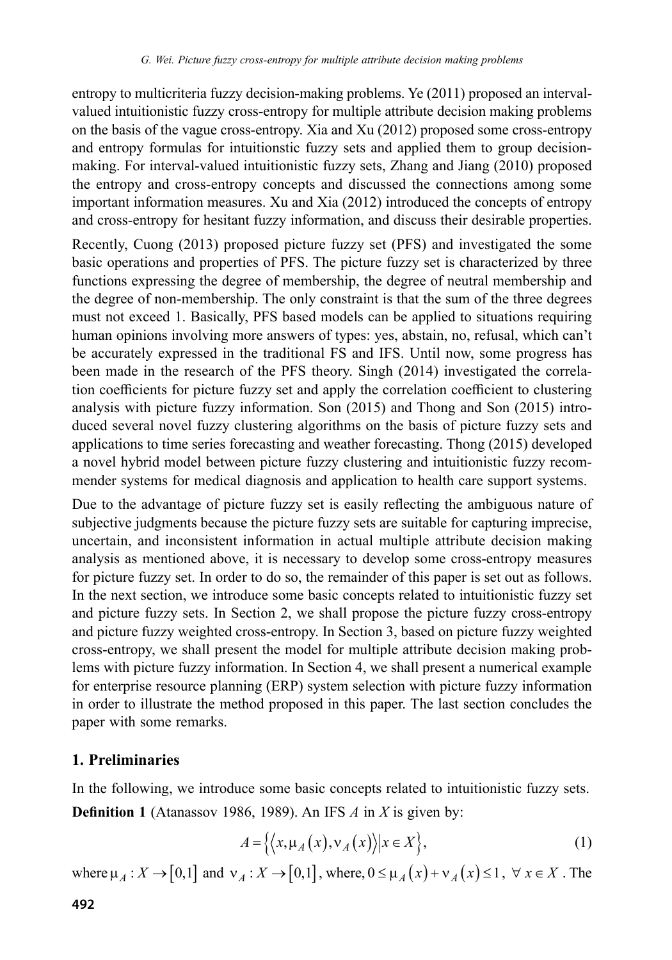entropy to multicriteria fuzzy decision-making problems. Ye (2011) proposed an intervalvalued intuitionistic fuzzy cross-entropy for multiple attribute decision making problems on the basis of the vague cross-entropy. Xia and Xu (2012) proposed some cross-entropy and entropy formulas for intuitionstic fuzzy sets and applied them to group decisionmaking. For interval-valued intuitionistic fuzzy sets, Zhang and Jiang (2010) proposed the entropy and cross-entropy concepts and discussed the connections among some important information measures. Xu and Xia (2012) introduced the concepts of entropy and cross-entropy for hesitant fuzzy information, and discuss their desirable properties.

Recently, Cuong (2013) proposed picture fuzzy set (PFS) and investigated the some basic operations and properties of PFS. The picture fuzzy set is characterized by three functions expressing the degree of membership, the degree of neutral membership and the degree of non-membership. The only constraint is that the sum of the three degrees must not exceed 1. Basically, PFS based models can be applied to situations requiring human opinions involving more answers of types: yes, abstain, no, refusal, which can't be accurately expressed in the traditional FS and IFS. Until now, some progress has been made in the research of the PFS theory. Singh (2014) investigated the correlation coefficients for picture fuzzy set and apply the correlation coefficient to clustering analysis with picture fuzzy information. Son (2015) and Thong and Son (2015) introduced several novel fuzzy clustering algorithms on the basis of picture fuzzy sets and applications to time series forecasting and weather forecasting. Thong (2015) developed a novel hybrid model between picture fuzzy clustering and intuitionistic fuzzy recommender systems for medical diagnosis and application to health care support systems.

Due to the advantage of picture fuzzy set is easily reflecting the ambiguous nature of subjective judgments because the picture fuzzy sets are suitable for capturing imprecise, uncertain, and inconsistent information in actual multiple attribute decision making analysis as mentioned above, it is necessary to develop some cross-entropy measures for picture fuzzy set. In order to do so, the remainder of this paper is set out as follows. In the next section, we introduce some basic concepts related to intuitionistic fuzzy set and picture fuzzy sets. In Section 2, we shall propose the picture fuzzy cross-entropy and picture fuzzy weighted cross-entropy. In Section 3, based on picture fuzzy weighted cross-entropy, we shall present the model for multiple attribute decision making problems with picture fuzzy information. In Section 4, we shall present a numerical example for enterprise resource planning (ERP) system selection with picture fuzzy information in order to illustrate the method proposed in this paper. The last section concludes the paper with some remarks.

#### **1. Preliminaries**

In the following, we introduce some basic concepts related to intuitionistic fuzzy sets. **Definition 1** (Atanassov 1986, 1989). An IFS *A* in *X* is given by:

$$
A = \left\{ \left\langle x, \mu_A(x), \nu_A(x) \right\rangle \middle| x \in X \right\},\tag{1}
$$

where  $\mu_A : X \to [0,1]$  and  $v_A : X \to [0,1]$ , where,  $0 \le \mu_A(x) + v_A(x) \le 1$ ,  $\forall x \in X$ . The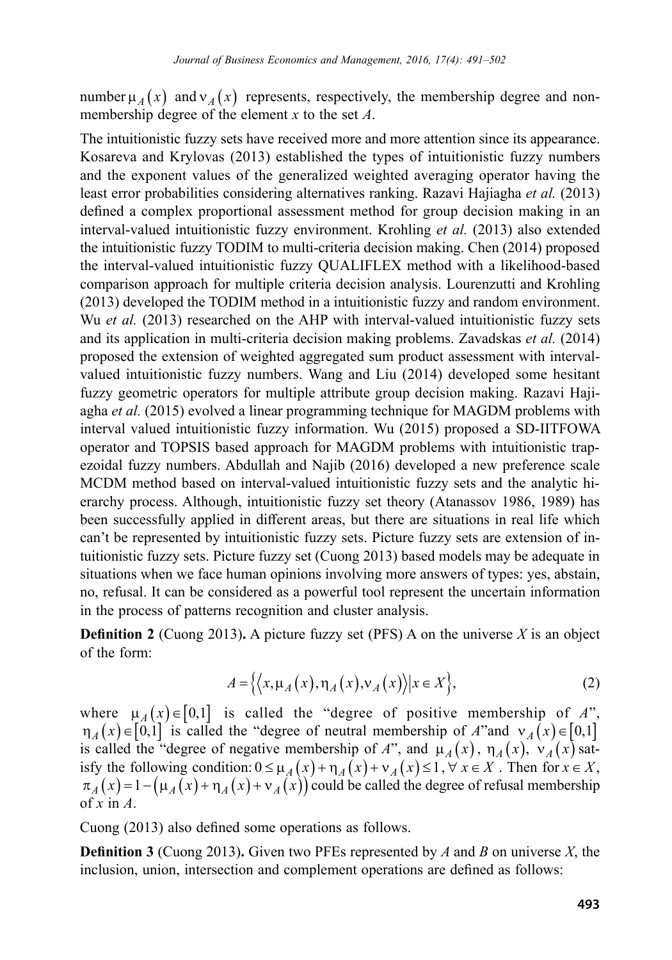number  $\mu_A(x)$  and  $v_A(x)$  represents, respectively, the membership degree and nonmembership degree of the element *x* to the set *A*.

The intuitionistic fuzzy sets have received more and more attention since its appearance. Kosareva and Krylovas (2013) established the types of intuitionistic fuzzy numbers and the exponent values of the generalized weighted averaging operator having the least error probabilities considering alternatives ranking. Razavi Hajiagha *et al.* (2013) defined a complex proportional assessment method for group decision making in an interval-valued intuitionistic fuzzy environment. Krohling *et al.* (2013) also extended the intuitionistic fuzzy TODIM to multi-criteria decision making. Chen (2014) proposed the interval-valued intuitionistic fuzzy QUALIFLEX method with a likelihood-based comparison approach for multiple criteria decision analysis. Lourenzutti and Krohling (2013) developed the TODIM method in a intuitionistic fuzzy and random environment. Wu *et al.* (2013) researched on the AHP with interval-valued intuitionistic fuzzy sets and its application in multi-criteria decision making problems. Zavadskas *et al.* (2014) proposed the extension of weighted aggregated sum product assessment with intervalvalued intuitionistic fuzzy numbers. Wang and Liu (2014) developed some hesitant fuzzy geometric operators for multiple attribute group decision making. Razavi Hajiagha *et al.* (2015) evolved a linear programming technique for MAGDM problems with interval valued intuitionistic fuzzy information. Wu (2015) proposed a SD-IITFOWA operator and TOPSIS based approach for MAGDM problems with intuitionistic trapezoidal fuzzy numbers. Abdullah and Najib (2016) developed a new preference scale MCDM method based on interval-valued intuitionistic fuzzy sets and the analytic hierarchy process. Although, intuitionistic fuzzy set theory (Atanassov 1986, 1989) has been successfully applied in different areas, but there are situations in real life which can't be represented by intuitionistic fuzzy sets. Picture fuzzy sets are extension of intuitionistic fuzzy sets. Picture fuzzy set (Cuong 2013) based models may be adequate in situations when we face human opinions involving more answers of types: yes, abstain, no, refusal. It can be considered as a powerful tool represent the uncertain information in the process of patterns recognition and cluster analysis.

**Definition 2** (Cuong 2013). A picture fuzzy set (PFS) A on the universe *X* is an object of the form:

$$
A = \{ \langle x, \mu_A(x), \eta_A(x), \nu_A(x) \rangle | x \in X \},\tag{2}
$$

where  $\mu_A(x) \in [0,1]$  is called the "degree of positive membership of *A*",  $\eta_A(x) \in [0,1]$  is called the "degree of neutral membership of *A*"and  $v_A(x) \in [0,1]$ is called the "degree of negative membership of *A*", and  $\mu_A(x)$ ,  $\eta_A(x)$ ,  $\dot{v}_A(x)$  satisfy the following condition:  $0 \le \mu_A(x) + \eta_A(x) + \nu_A(x) \le 1, \forall x \in X$ . Then for  $x \in X$ ,  $\pi_A(x) = 1 - (\mu_A(x) + \eta_A(x) + \nu_A(x))$  could be called the degree of refusal membership of *x* in *A*.

Cuong (2013) also defined some operations as follows.

**Definition 3** (Cuong 2013)**.** Given two PFEs represented by *A* and *B* on universe *X*, the inclusion, union, intersection and complement operations are defined as follows: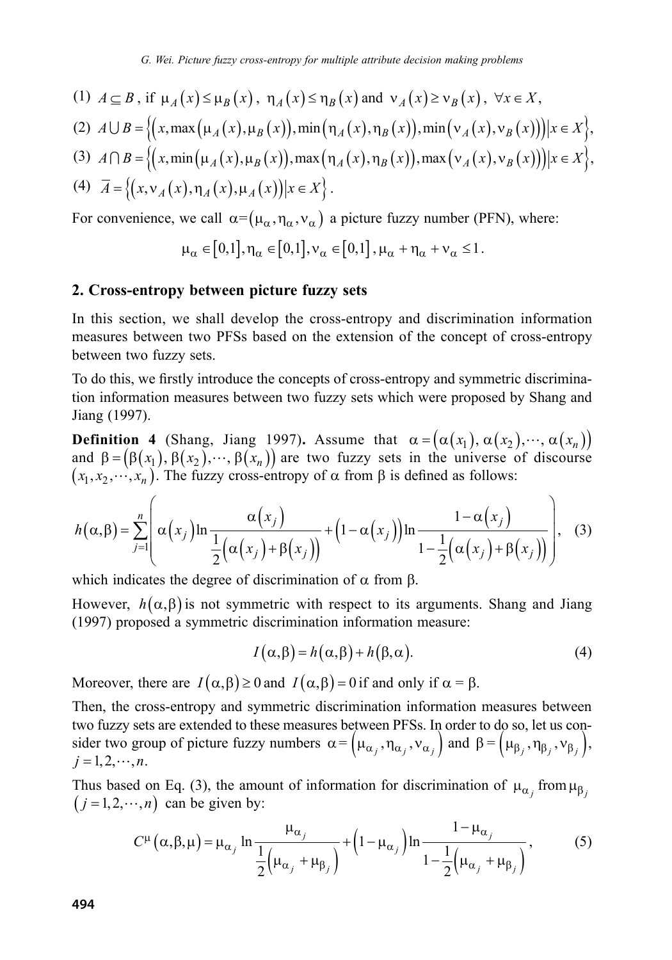(1) 
$$
A \subseteq B
$$
, if  $\mu_A(x) \le \mu_B(x)$ ,  $\eta_A(x) \le \eta_B(x)$  and  $\nu_A(x) \ge \nu_B(x)$ ,  $\forall x \in X$ ,

$$
(2) \quad A \cup B = \left\{ \left( x, \max\left(\mu_A(x), \mu_B(x)\right), \min\left(\eta_A(x), \eta_B(x)\right), \min\left(\nu_A(x), \nu_B(x)\right) \right) \middle| x \in X \right\},\
$$

$$
(3) \ \ A \cap B = \left\{ \left( x, \min\left(\mu_A(x), \mu_B(x)\right), \max\left(\eta_A(x), \eta_B(x)\right), \max\left(\nu_A(x), \nu_B(x)\right) \right) \middle| x \in X \right\},\
$$

$$
(4) \quad \overline{A} = \left\{ \left( x, v_A(x), \eta_A(x), \mu_A(x) \right) \middle| x \in X \right\}.
$$

For convenience, we call  $\alpha = (\mu_{\alpha}, \eta_{\alpha}, v_{\alpha})$  a picture fuzzy number (PFN), where:

$$
\mu_{\alpha} \in [0,1], \eta_{\alpha} \in [0,1], \mathbf{v}_{\alpha} \in [0,1], \mu_{\alpha} + \eta_{\alpha} + \mathbf{v}_{\alpha} \le 1.
$$

#### **2. Cross-entropy between picture fuzzy sets**

In this section, we shall develop the cross-entropy and discrimination information measures between two PFSs based on the extension of the concept of cross-entropy between two fuzzy sets.

To do this, we firstly introduce the concepts of cross-entropy and symmetric discrimination information measures between two fuzzy sets which were proposed by Shang and Jiang (1997).

**Definition 4** (Shang, Jiang 1997). Assume that  $\alpha = (\alpha(x_1), \alpha(x_2), \dots, \alpha(x_n))$ and  $\beta = (\beta (x_1), \beta (x_2), \dots, \beta (x_n))$  are two fuzzy sets in the universe of discourse  $(x_1, x_2, \dots, x_n)$ . The fuzzy cross-entropy of  $\alpha$  from  $\beta$  is defined as follows:

$$
h(\alpha,\beta) = \sum_{j=1}^{n} \left( \alpha(x_j) \ln \frac{\alpha(x_j)}{\frac{1}{2}(\alpha(x_j) + \beta(x_j))} + \left(1 - \alpha(x_j)\right) \ln \frac{1 - \alpha(x_j)}{1 - \frac{1}{2}(\alpha(x_j) + \beta(x_j))} \right),
$$
 (3)

which indicates the degree of discrimination of  $\alpha$  from  $\beta$ .

However,  $h(\alpha, \beta)$  is not symmetric with respect to its arguments. Shang and Jiang (1997) proposed a symmetric discrimination information measure:

$$
I(\alpha, \beta) = h(\alpha, \beta) + h(\beta, \alpha). \tag{4}
$$

Moreover, there are  $I(\alpha, \beta) \ge 0$  and  $I(\alpha, \beta) = 0$  if and only if  $\alpha = \beta$ .

Then, the cross-entropy and symmetric discrimination information measures between two fuzzy sets are extended to these measures between PFSs. In order to do so, let us consider two group of picture fuzzy numbers  $\alpha = (\mu_{\alpha_j}, \eta_{\alpha_j}, v_{\alpha_j})$  and  $\beta = (\mu_{\beta_j}, \eta_{\beta_j}, v_{\beta_j})$ ,  $i = 1, 2, \cdots, n$ .

Thus based on Eq. (3), the amount of information for discrimination of  $\mu_{\alpha_j}$  from  $\mu_{\beta_j}$  $(j = 1, 2, \dots, n)$  can be given by:

$$
C^{\mu}(\alpha, \beta, \mu) = \mu_{\alpha_j} \ln \frac{\mu_{\alpha_j}}{\frac{1}{2} (\mu_{\alpha_j} + \mu_{\beta_j})} + (1 - \mu_{\alpha_j}) \ln \frac{1 - \mu_{\alpha_j}}{1 - \frac{1}{2} (\mu_{\alpha_j} + \mu_{\beta_j})},
$$
(5)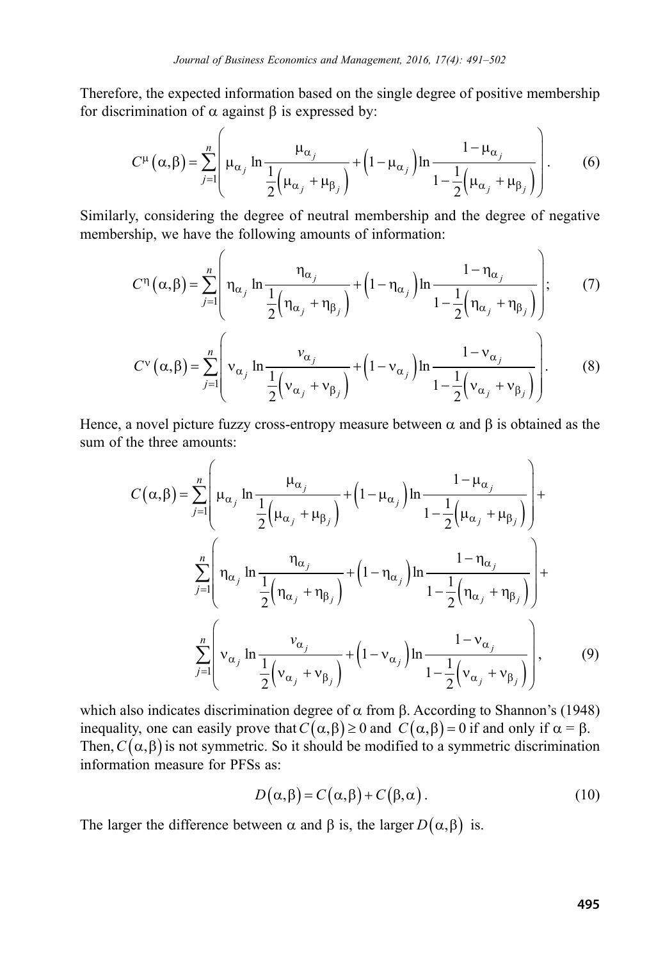Therefore, the expected information based on the single degree of positive membership for discrimination of  $\alpha$  against  $\beta$  is expressed by:

$$
C^{\mu}(\alpha,\beta) = \sum_{j=1}^{n} \left( \mu_{\alpha_j} \ln \frac{\mu_{\alpha_j}}{\frac{1}{2} (\mu_{\alpha_j} + \mu_{\beta_j})} + \left(1 - \mu_{\alpha_j}\right) \ln \frac{1 - \mu_{\alpha_j}}{1 - \frac{1}{2} (\mu_{\alpha_j} + \mu_{\beta_j})} \right). \tag{6}
$$

Similarly, considering the degree of neutral membership and the degree of negative membership, we have the following amounts of information:

$$
C^{\eta}\left(\alpha,\beta\right) = \sum_{j=1}^{n} \left( \eta_{\alpha_j} \ln \frac{\eta_{\alpha_j}}{\frac{1}{2} \left( \eta_{\alpha_j} + \eta_{\beta_j} \right)} + \left(1 - \eta_{\alpha_j}\right) \ln \frac{1 - \eta_{\alpha_j}}{1 - \frac{1}{2} \left( \eta_{\alpha_j} + \eta_{\beta_j} \right)} \right);
$$
 (7)

$$
C^{v}(\alpha,\beta) = \sum_{j=1}^{n} \left( v_{\alpha_j} \ln \frac{v_{\alpha_j}}{\frac{1}{2} (v_{\alpha_j} + v_{\beta_j})} + \left( 1 - v_{\alpha_j} \ln \frac{1 - v_{\alpha_j}}{1 - \frac{1}{2} (v_{\alpha_j} + v_{\beta_j})} \right) \right).
$$
 (8)

Hence, a novel picture fuzzy cross-entropy measure between  $\alpha$  and  $\beta$  is obtained as the sum of the three amounts:

$$
C(\alpha, \beta) = \sum_{j=1}^{n} \left( \mu_{\alpha_j} \ln \frac{\mu_{\alpha_j}}{\frac{1}{2} (\mu_{\alpha_j} + \mu_{\beta_j})} + (1 - \mu_{\alpha_j}) \ln \frac{1 - \mu_{\alpha_j}}{1 - \frac{1}{2} (\mu_{\alpha_j} + \mu_{\beta_j})} \right) + \sum_{j=1}^{n} \left( \eta_{\alpha_j} \ln \frac{\eta_{\alpha_j}}{\frac{1}{2} (\eta_{\alpha_j} + \eta_{\beta_j})} + (1 - \eta_{\alpha_j}) \ln \frac{1 - \eta_{\alpha_j}}{1 - \frac{1}{2} (\eta_{\alpha_j} + \eta_{\beta_j})} \right) + \sum_{j=1}^{n} \left( v_{\alpha_j} \ln \frac{v_{\alpha_j}}{\frac{1}{2} (v_{\alpha_j} + v_{\beta_j})} + (1 - v_{\alpha_j}) \ln \frac{1 - v_{\alpha_j}}{1 - \frac{1}{2} (v_{\alpha_j} + v_{\beta_j})} \right),
$$
(9)

which also indicates discrimination degree of  $\alpha$  from  $\beta$ . According to Shannon's (1948) inequality, one can easily prove that  $C(\alpha, \beta) \ge 0$  and  $C(\alpha, \beta) = 0$  if and only if  $\alpha = \beta$ . Then,  $C(\alpha, \beta)$  is not symmetric. So it should be modified to a symmetric discrimination information measure for PFSs as:

$$
D(\alpha, \beta) = C(\alpha, \beta) + C(\beta, \alpha).
$$
 (10)

The larger the difference between  $\alpha$  and  $\beta$  is, the larger  $D(\alpha, \beta)$  is.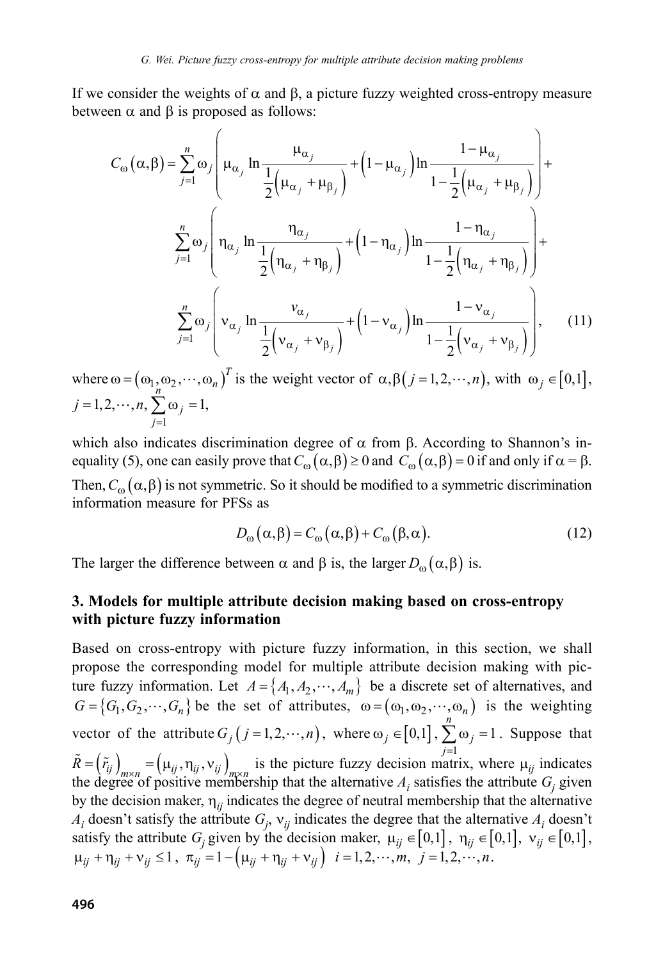If we consider the weights of  $\alpha$  and  $\beta$ , a picture fuzzy weighted cross-entropy measure between  $\alpha$  and  $\beta$  is proposed as follows:

$$
C_{\omega}(\alpha,\beta) = \sum_{j=1}^{n} \omega_{j} \left( \mu_{\alpha_{j}} \ln \frac{\mu_{\alpha_{j}}}{\frac{1}{2} (\mu_{\alpha_{j}} + \mu_{\beta_{j}})} + (1 - \mu_{\alpha_{j}}) \ln \frac{1 - \mu_{\alpha_{j}}}{1 - \frac{1}{2} (\mu_{\alpha_{j}} + \mu_{\beta_{j}})} \right) + \sum_{j=1}^{n} \omega_{j} \left( \eta_{\alpha_{j}} \ln \frac{\eta_{\alpha_{j}}}{\frac{1}{2} (\eta_{\alpha_{j}} + \eta_{\beta_{j}})} + (1 - \eta_{\alpha_{j}}) \ln \frac{1 - \eta_{\alpha_{j}}}{1 - \frac{1}{2} (\eta_{\alpha_{j}} + \eta_{\beta_{j}})} \right) + \sum_{j=1}^{n} \omega_{j} \left( v_{\alpha_{j}} \ln \frac{v_{\alpha_{j}}}{\frac{1}{2} (v_{\alpha_{j}} + v_{\beta_{j}})} + (1 - v_{\alpha_{j}}) \ln \frac{1 - v_{\alpha_{j}}}{1 - \frac{1}{2} (v_{\alpha_{j}} + v_{\beta_{j}})} \right), \quad (11)
$$

where  $\omega = (\omega_1, \omega_2, \cdots, \omega_n)^T$  is the weight vector of  $\alpha, \beta$  (*j* = 1, 2,  $\cdots$ , *n*), with  $\omega_j \in [0,1]$ ,  $j = 1, 2, \cdots, n,$ 1 1 =  $\sum_{j=1}^{n} \omega_j =$ *j j* ,

which also indicates discrimination degree of  $\alpha$  from  $\beta$ . According to Shannon's inequality (5), one can easily prove that  $C_{\omega}(\alpha, \beta) \ge 0$  and  $C_{\omega}(\alpha, \beta) = 0$  if and only if  $\alpha = \beta$ . Then,  $C_{\omega}(\alpha, \beta)$  is not symmetric. So it should be modified to a symmetric discrimination information measure for PFSs as

$$
D_{\omega}(\alpha, \beta) = C_{\omega}(\alpha, \beta) + C_{\omega}(\beta, \alpha). \tag{12}
$$

The larger the difference between  $\alpha$  and  $\beta$  is, the larger  $D_{\alpha}(\alpha, \beta)$  is.

### **3. Models for multiple attribute decision making based on cross-entropy with picture fuzzy information**

Based on cross-entropy with picture fuzzy information, in this section, we shall propose the corresponding model for multiple attribute decision making with picture fuzzy information. Let  $A = \{A_1, A_2, \dots, A_m\}$  be a discrete set of alternatives, and  $G = \{G_1, G_2, \dots, G_n\}$  be the set of attributes,  $\omega = (\omega_1, \omega_2, \dots, \omega_n)$  is the weighting vector of the attribute  $G_j$   $(j = 1, 2, \dots, n)$ , where  $\omega_j \in [0,1]$ ,  $\sum_{j=1}^{n} \omega_j = 1$  $\tilde{R} = (\tilde{r}_{ij})_{m \times n} = (\mu_{ij}, \eta_{ij}, \nu_{ij})_{m \times n}$  is the picture fuzzy decision matrix, where  $\mu_{ij}$  indicates  $j = 1$ . Suppose that the degree of positive membership that the alternative  $A_i$  satisfies the attribute  $G_j$  given by the decision maker,  $\eta_{ij}$  indicates the degree of neutral membership that the alternative  $A_i$  doesn't satisfy the attribute  $G_j$ ,  $v_{ij}$  indicates the degree that the alternative  $A_i$  doesn't satisfy the attribute  $G_j$  given by the decision maker,  $\mu_{ij} \in [0,1]$ ,  $\eta_{ij} \in [0,1]$ ,  $\nu_{ij} \in [0,1]$ ,  $\mu_{ij} + \eta_{ij} + \nu_{ij} \leq 1$ ,  $\pi_{ij} = 1 - (\mu_{ij} + \eta_{ij} + \nu_{ij})$   $i = 1, 2, \dots, m, j = 1, 2, \dots, n$ .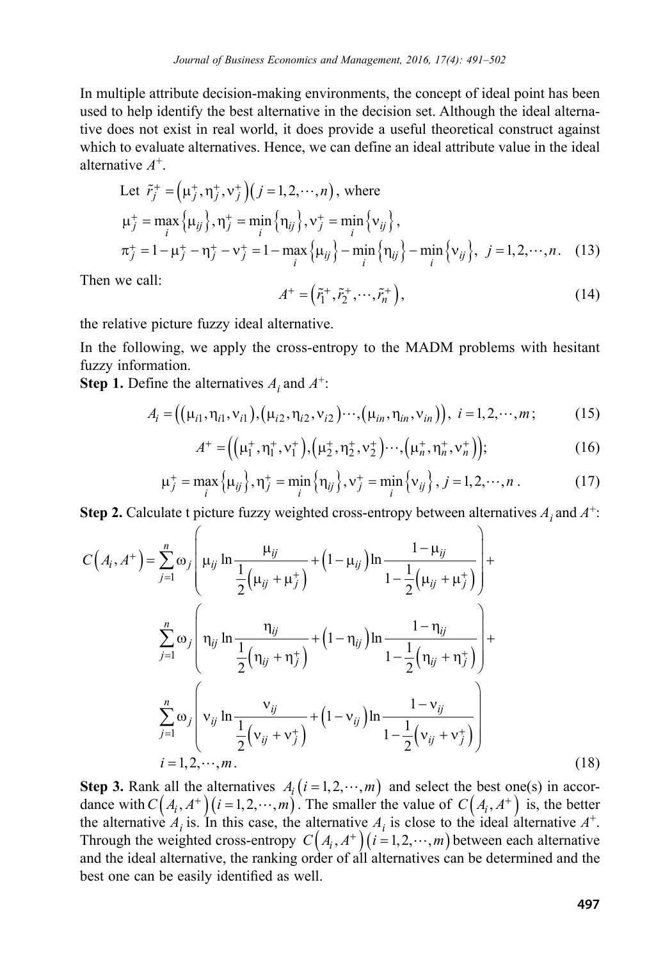In multiple attribute decision-making environments, the concept of ideal point has been used to help identify the best alternative in the decision set. Although the ideal alternative does not exist in real world, it does provide a useful theoretical construct against which to evaluate alternatives. Hence, we can define an ideal attribute value in the ideal alternative *A*+.

Let 
$$
\tilde{r}_j^+ = (\mu_j^+, \eta_j^-, v_j^+) (j = 1, 2, \dots, n)
$$
, where  
\n
$$
\mu_j^+ = \max_i {\mu_{ij}} , \eta_j^+ = \min_i {\eta_{ij}} , v_j^+ = \min_i {\nu_{ij}} ,
$$
\n
$$
\pi_j^+ = 1 - \mu_j^+ - \eta_j^+ - v_j^+ = 1 - \max_i {\mu_{ij}} - \min_i {\eta_{ij}} - \min_i {\nu_{ij}} , j = 1, 2, \dots, n. \quad (13)
$$

Then we call:

$$
A^+ = \left(\tilde{r}_1^+, \tilde{r}_2^+, \cdots, \tilde{r}_n^+\right),\tag{14}
$$

the relative picture fuzzy ideal alternative.

In the following, we apply the cross-entropy to the MADM problems with hesitant fuzzy information.

**Step 1.** Define the alternatives  $A_i$  and  $A^+$ :

$$
A_i = ((\mu_{i1}, \eta_{i1}, \nu_{i1}), (\mu_{i2}, \eta_{i2}, \nu_{i2}) \cdots, (\mu_{in}, \eta_{in}, \nu_{in})), i = 1, 2, \cdots, m; \qquad (15)
$$

$$
A^+ = ((\mu_1^+, \eta_1^+, v_1^+), (\mu_2^+, \eta_2^+, v_2^+) \cdots, (\mu_n^+, \eta_n^+, v_n^+));
$$
 (16)

$$
\mu_j^+ = \max_i {\mu_{ij}} , \eta_j^+ = \min_i {\eta_{ij}} , \nu_j^+ = \min_i {\nu_{ij}} , j = 1, 2, \cdots, n .
$$
 (17)

**Step 2.** Calculate t picture fuzzy weighted cross-entropy between alternatives  $A_i$  and  $A^+$ :

$$
C(A_i, A^+) = \sum_{j=1}^n \omega_j \left( \mu_{ij} \ln \frac{\mu_{ij}}{\frac{1}{2} (\mu_{ij} + \mu_j^+)} + (1 - \mu_{ij}) \ln \frac{1 - \mu_{ij}}{1 - \frac{1}{2} (\mu_{ij} + \mu_j^+)} \right) +
$$
  

$$
\sum_{j=1}^n \omega_j \left( n_{ij} \ln \frac{n_{ij}}{\frac{1}{2} (n_{ij} + n_j^+)} + (1 - n_{ij}) \ln \frac{1 - n_{ij}}{1 - \frac{1}{2} (n_{ij} + n_j^+)} \right) +
$$
  

$$
\sum_{j=1}^n \omega_j \left( v_{ij} \ln \frac{v_{ij}}{\frac{1}{2} (v_{ij} + v_j^+)} + (1 - v_{ij}) \ln \frac{1 - v_{ij}}{1 - \frac{1}{2} (v_{ij} + v_j^+)} \right)
$$
  
 $i = 1, 2, \dots, m.$  (18)

 best one can be easily identified as well.**Step 3.** Rank all the alternatives  $A_i$  ( $i = 1, 2, \dots, m$ ) and select the best one(s) in accordance with  $C(A_i, A^+)$  ( $i = 1, 2, \dots, m$ ). The smaller the value of  $C(A_i, A^+)$  is, the better the alternative  $A_i$  is. In this case, the alternative  $A_i$  is close to the ideal alternative  $A^+$ . Through the weighted cross-entropy  $C(A_i, A^+)$  ( $i = 1, 2, \dots, m$ ) between each alternative and the ideal alternative, the ranking order of all alternatives can be determined and the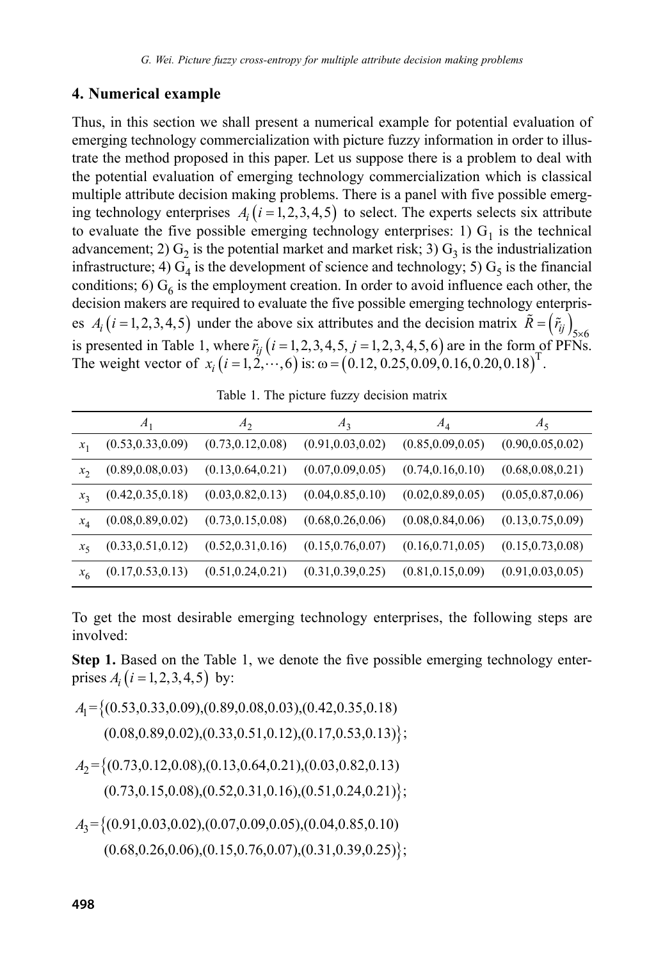#### **4. Numerical example**

Thus, in this section we shall present a numerical example for potential evaluation of emerging technology commercialization with picture fuzzy information in order to illustrate the method proposed in this paper. Let us suppose there is a problem to deal with the potential evaluation of emerging technology commercialization which is classical multiple attribute decision making problems. There is a panel with five possible emerging technology enterprises  $A_i$  ( $i = 1, 2, 3, 4, 5$ ) to select. The experts selects six attribute to evaluate the five possible emerging technology enterprises: 1)  $G<sub>1</sub>$  is the technical advancement; 2)  $G_2$  is the potential market and market risk; 3)  $G_3$  is the industrialization infrastructure; 4)  $G_4$  is the development of science and technology; 5)  $G_5$  is the financial conditions; 6)  $G_6$  is the employment creation. In order to avoid influence each other, the decision makers are required to evaluate the five possible emerging technology enterprises  $A_i$  (*i* = 1, 2, 3, 4, 5) under the above six attributes and the decision matrix  $\tilde{R} = (\tilde{r}_{ij})_{5 \times 6}$ is presented in Table 1, where  $\tilde{r}_{ij}$  ( $i = 1, 2, 3, 4, 5, j = 1, 2, 3, 4, 5, 6$ ) are in the form of PFNs. The weight vector of  $x_i$   $(i = 1, 2, \dots, 6)$  is:  $\omega = (0.12, 0.25, 0.09, 0.16, 0.20, 0.18)$ <sup>T</sup>.

Table 1. The picture fuzzy decision matrix

|         | $A_1$              | A <sub>2</sub>     | $A_3$              | $A_4$              | $A_5$              |
|---------|--------------------|--------------------|--------------------|--------------------|--------------------|
| $x_1$   | (0.53, 0.33, 0.09) | (0.73, 0.12, 0.08) | (0.91, 0.03, 0.02) | (0.85, 0.09, 0.05) | (0.90, 0.05, 0.02) |
| $x_{2}$ | (0.89, 0.08, 0.03) | (0.13, 0.64, 0.21) | (0.07, 0.09, 0.05) | (0.74, 0.16, 0.10) | (0.68, 0.08, 0.21) |
| $x_3$   | (0.42, 0.35, 0.18) | (0.03, 0.82, 0.13) | (0.04, 0.85, 0.10) | (0.02, 0.89, 0.05) | (0.05, 0.87, 0.06) |
| $x_4$   | (0.08, 0.89, 0.02) | (0.73, 0.15, 0.08) | (0.68, 0.26, 0.06) | (0.08, 0.84, 0.06) | (0.13, 0.75, 0.09) |
| $x_{5}$ | (0.33, 0.51, 0.12) | (0.52, 0.31, 0.16) | (0.15, 0.76, 0.07) | (0.16, 0.71, 0.05) | (0.15, 0.73, 0.08) |
| $x_6$   | (0.17, 0.53, 0.13) | (0.51, 0.24, 0.21) | (0.31, 0.39, 0.25) | (0.81, 0.15, 0.09) | (0.91, 0.03, 0.05) |

To get the most desirable emerging technology enterprises, the following steps are involved:

**Step 1.** Based on the Table 1, we denote the five possible emerging technology enterprises  $A_i$  ( $i = 1, 2, 3, 4, 5$ ) by:

 $A_{\rm l}$  = {(0.53,0.33,0.09),(0.89,0.08,0.03),(0.42,0.35,0.18)  $(0.08, 0.89, 0.02), (0.33, 0.51, 0.12), (0.17, 0.53, 0.13)$ ;  $A_2 = \{(0.73, 0.12, 0.08), (0.13, 0.64, 0.21), (0.03, 0.82, 0.13)\}$  $(0.73, 0.15, 0.08), (0.52, 0.31, 0.16), (0.51, 0.24, 0.21)$ 

 $A_3 = \{(0.91, 0.03, 0.02), (0.07, 0.09, 0.05), (0.04, 0.85, 0.10)\}$  $(0.68, 0.26, 0.06), (0.15, 0.76, 0.07), (0.31, 0.39, 0.25)$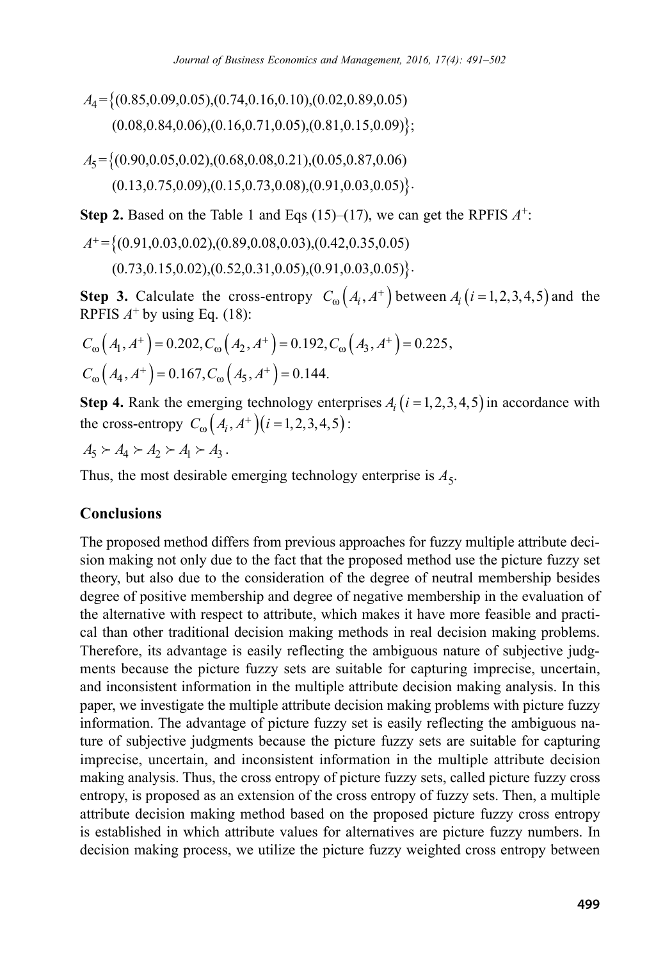$A_4 = \{(0.85, 0.09, 0.05), (0.74, 0.16, 0.10), (0.02, 0.89, 0.05)\}$  $(0.08, 0.84, 0.06), (0.16, 0.71, 0.05), (0.81, 0.15, 0.09)\};$ 

 $A_5 = \{(0.90, 0.05, 0.02), (0.68, 0.08, 0.21), (0.05, 0.87, 0.06)\}$  $(0.13, 0.75, 0.09), (0.15, 0.73, 0.08), (0.91, 0.03, 0.05)$ 

**Step 2.** Based on the Table 1 and Eqs (15)–(17), we can get the RPFIS  $A^+$ :

 $A^+ = \{(0.91, 0.03, 0.02), (0.89, 0.08, 0.03), (0.42, 0.35, 0.05)\}$  $(0.73, 0.15, 0.02), (0.52, 0.31, 0.05), (0.91, 0.03, 0.05)$ 

**Step 3.** Calculate the cross-entropy  $C_{\omega}(A_i, A^+)$  between  $A_i$   $(i=1,2,3,4,5)$  and the RPFIS  $A^+$  by using Eq. (18):

$$
C_{\omega}(A_1, A^+) = 0.202, C_{\omega}(A_2, A^+) = 0.192, C_{\omega}(A_3, A^+) = 0.225,
$$
  

$$
C_{\omega}(A_4, A^+) = 0.167, C_{\omega}(A_5, A^+) = 0.144.
$$

**Step 4.** Rank the emerging technology enterprises  $A_i$  ( $i = 1, 2, 3, 4, 5$ ) in accordance with the cross-entropy  $C_{\omega}(A_i, A^+)(i = 1,2,3,4,5)$ :

$$
A_5 \succ A_4 \succ A_2 \succ A_1 \succ A_3.
$$

Thus, the most desirable emerging technology enterprise is  $A_5$ .

#### **Conclusions**

The proposed method differs from previous approaches for fuzzy multiple attribute decision making not only due to the fact that the proposed method use the picture fuzzy set theory, but also due to the consideration of the degree of neutral membership besides degree of positive membership and degree of negative membership in the evaluation of the alternative with respect to attribute, which makes it have more feasible and practical than other traditional decision making methods in real decision making problems. Therefore, its advantage is easily reflecting the ambiguous nature of subjective judgments because the picture fuzzy sets are suitable for capturing imprecise, uncertain, and inconsistent information in the multiple attribute decision making analysis. In this paper, we investigate the multiple attribute decision making problems with picture fuzzy information. The advantage of picture fuzzy set is easily reflecting the ambiguous nature of subjective judgments because the picture fuzzy sets are suitable for capturing imprecise, uncertain, and inconsistent information in the multiple attribute decision making analysis. Thus, the cross entropy of picture fuzzy sets, called picture fuzzy cross entropy, is proposed as an extension of the cross entropy of fuzzy sets. Then, a multiple attribute decision making method based on the proposed picture fuzzy cross entropy is established in which attribute values for alternatives are picture fuzzy numbers. In decision making process, we utilize the picture fuzzy weighted cross entropy between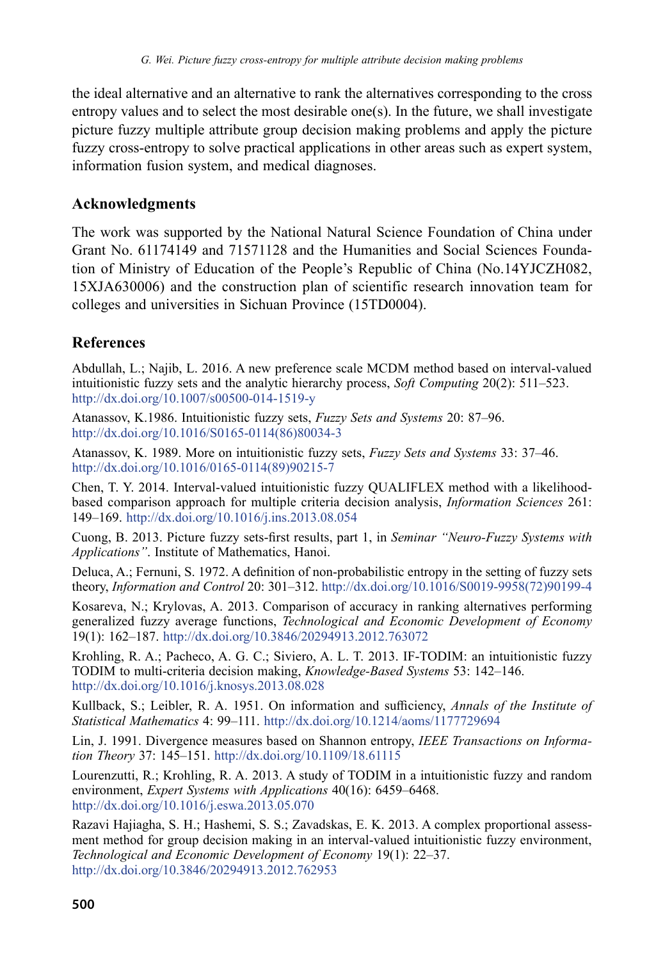the ideal alternative and an alternative to rank the alternatives corresponding to the cross entropy values and to select the most desirable one(s). In the future, we shall investigate picture fuzzy multiple attribute group decision making problems and apply the picture fuzzy cross-entropy to solve practical applications in other areas such as expert system, information fusion system, and medical diagnoses.

## **Acknowledgments**

The work was supported by the National Natural Science Foundation of China under Grant No. 61174149 and 71571128 and the Humanities and Social Sciences Foundation of Ministry of Education of the People's Republic of China (No.14YJCZH082, 15XJA630006) and the construction plan of scientific research innovation team for colleges and universities in Sichuan Province (15TD0004).

# **References**

Abdullah, L.; Najib, L. 2016. A new preference scale MCDM method based on interval-valued intuitionistic fuzzy sets and the analytic hierarchy process, *Soft Computing* 20(2): 511–523. http://dx.doi.org/10.1007/s00500-014-1519-y

Atanassov, K.1986. Intuitionistic fuzzy sets, *Fuzzy Sets and Systems* 20: 87–96. http://dx.doi.org/10.1016/S0165-0114(86)80034-3

Atanassov, K. 1989. More on intuitionistic fuzzy sets, *Fuzzy Sets and Systems* 33: 37–46. http://dx.doi.org/10.1016/0165-0114(89)90215-7

Chen, T. Y. 2014. Interval-valued intuitionistic fuzzy QUALIFLEX method with a likelihoodbased comparison approach for multiple criteria decision analysis, *Information Sciences* 261: 149–169. http://dx.doi.org/10.1016/j.ins.2013.08.054

Cuong, B. 2013. Picture fuzzy sets-first results, part 1, in *Seminar "Neuro-Fuzzy Systems with Applications"*. Institute of Mathematics, Hanoi.

Deluca, A.; Fernuni, S. 1972. A definition of non-probabilistic entropy in the setting of fuzzy sets theory, *Information and Control* 20: 301–312. http://dx.doi.org/10.1016/S0019-9958(72)90199-4

Kosareva, N.; Krylovas, A. 2013. Comparison of accuracy in ranking alternatives performing generalized fuzzy average functions, *Technological and Economic Development of Economy* 19(1): 162–187. http://dx.doi.org/10.3846/20294913.2012.763072

Krohling, R. A.; Pacheco, A. G. C.; Siviero, A. L. T. 2013. IF-TODIM: an intuitionistic fuzzy TODIM to multi-criteria decision making, *Knowledge-Based Systems* 53: 142–146. http://dx.doi.org/10.1016/j.knosys.2013.08.028

Kullback, S.; Leibler, R. A. 1951. On information and sufficiency, *Annals of the Institute of Statistical Mathematics* 4: 99–111. http://dx.doi.org/10.1214/aoms/1177729694

Lin, J. 1991. Divergence measures based on Shannon entropy, *IEEE Transactions on Information Theory* 37: 145–151. http://dx.doi.org/10.1109/18.61115

Lourenzutti, R.; Krohling, R. A. 2013. A study of TODIM in a intuitionistic fuzzy and random environment, *Expert Systems with Applications* 40(16): 6459–6468. http://dx.doi.org/10.1016/j.eswa.2013.05.070

Razavi Hajiagha, S. H.; Hashemi, S. S.; Zavadskas, E. K. 2013. A complex proportional assessment method for group decision making in an interval-valued intuitionistic fuzzy environment, *Technological and Economic Development of Economy* 19(1): 22–37. http://dx.doi.org/10.3846/20294913.2012.762953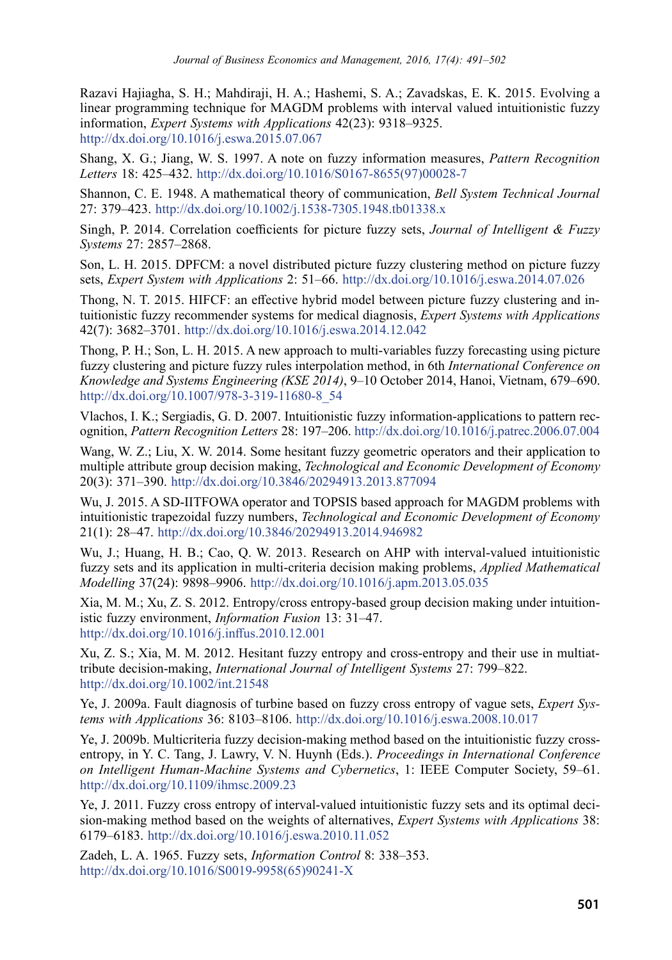Razavi Hajiagha, S. H.; Mahdiraji, H. A.; Hashemi, S. A.; Zavadskas, E. K. 2015. Evolving a linear programming technique for MAGDM problems with interval valued intuitionistic fuzzy information, *Expert Systems with Applications* 42(23): 9318–9325. http://dx.doi.org/10.1016/j.eswa.2015.07.067

Shang, X. G.; Jiang, W. S. 1997. A note on fuzzy information measures, *Pattern Recognition Letters* 18: 425–432. http://dx.doi.org/10.1016/S0167-8655(97)00028-7

Shannon, C. E. 1948. A mathematical theory of communication, *Bell System Technical Journal* 27: 379–423. http://dx.doi.org/10.1002/j.1538-7305.1948.tb01338.x

Singh, P. 2014. Correlation coefficients for picture fuzzy sets, *Journal of Intelligent & Fuzzy Systems* 27: 2857–2868.

Son, L. H. 2015. DPFCM: a novel distributed picture fuzzy clustering method on picture fuzzy sets, *Expert System with Applications* 2: 51–66. http://dx.doi.org/10.1016/j.eswa.2014.07.026

Thong, N. T. 2015. HIFCF: an effective hybrid model between picture fuzzy clustering and intuitionistic fuzzy recommender systems for medical diagnosis, *Expert Systems with Applications* 42(7): 3682–3701. http://dx.doi.org/10.1016/j.eswa.2014.12.042

Thong, P. H.; Son, L. H. 2015. A new approach to multi-variables fuzzy forecasting using picture fuzzy clustering and picture fuzzy rules interpolation method, in 6th *International Conference on Knowledge and Systems Engineering (KSE 2014)*, 9–10 October 2014, Hanoi, Vietnam, 679–690. http://dx.doi.org/10.1007/978-3-319-11680-8\_54

Vlachos, I. K.; Sergiadis, G. D. 2007. Intuitionistic fuzzy information-applications to pattern recognition, *Pattern Recognition Letters* 28: 197–206. http://dx.doi.org/10.1016/j.patrec.2006.07.004

Wang, W. Z.; Liu, X. W. 2014. Some hesitant fuzzy geometric operators and their application to multiple attribute group decision making, *Technological and Economic Development of Economy* 20(3): 371–390. http://dx.doi.org/10.3846/20294913.2013.877094

Wu, J. 2015. A SD-IITFOWA operator and TOPSIS based approach for MAGDM problems with intuitionistic trapezoidal fuzzy numbers, *Technological and Economic Development of Economy* 21(1): 28–47. http://dx.doi.org/10.3846/20294913.2014.946982

Wu, J.; Huang, H. B.; Cao, Q. W. 2013. Research on AHP with interval-valued intuitionistic fuzzy sets and its application in multi-criteria decision making problems, *Applied Mathematical Modelling* 37(24): 9898–9906. http://dx.doi.org/10.1016/j.apm.2013.05.035

Xia, M. M.; Xu, Z. S. 2012. Entropy/cross entropy-based group decision making under intuitionistic fuzzy environment, *Information Fusion* 13: 31–47. http://dx.doi.org/10.1016/j.inffus.2010.12.001

Xu, Z. S.; Xia, M. M. 2012. Hesitant fuzzy entropy and cross-entropy and their use in multiattribute decision-making, *International Journal of Intelligent Systems* 27: 799–822. http://dx.doi.org/10.1002/int.21548

Ye, J. 2009a. Fault diagnosis of turbine based on fuzzy cross entropy of vague sets, *Expert Systems with Applications* 36: 8103–8106. http://dx.doi.org/10.1016/j.eswa.2008.10.017

Ye, J. 2009b. Multicriteria fuzzy decision-making method based on the intuitionistic fuzzy crossentropy, in Y. C. Tang, J. Lawry, V. N. Huynh (Eds.). *Proceedings in International Conference on Intelligent Human-Machine Systems and Cybernetics*, 1: IEEE Computer Society, 59–61. http://dx.doi.org/10.1109/ihmsc.2009.23

Ye, J. 2011. Fuzzy cross entropy of interval-valued intuitionistic fuzzy sets and its optimal decision-making method based on the weights of alternatives, *Expert Systems with Applications* 38: 6179–6183. http://dx.doi.org/10.1016/j.eswa.2010.11.052

Zadeh, L. A. 1965. Fuzzy sets, *Information Control* 8: 338–353. http://dx.doi.org/10.1016/S0019-9958(65)90241-X